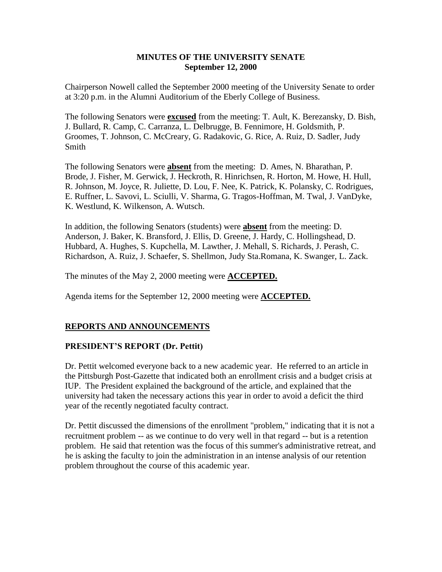### **MINUTES OF THE UNIVERSITY SENATE September 12, 2000**

Chairperson Nowell called the September 2000 meeting of the University Senate to order at 3:20 p.m. in the Alumni Auditorium of the Eberly College of Business.

The following Senators were **excused** from the meeting: T. Ault, K. Berezansky, D. Bish, J. Bullard, R. Camp, C. Carranza, L. Delbrugge, B. Fennimore, H. Goldsmith, P. Groomes, T. Johnson, C. McCreary, G. Radakovic, G. Rice, A. Ruiz, D. Sadler, Judy Smith

The following Senators were **absent** from the meeting: D. Ames, N. Bharathan, P. Brode, J. Fisher, M. Gerwick, J. Heckroth, R. Hinrichsen, R. Horton, M. Howe, H. Hull, R. Johnson, M. Joyce, R. Juliette, D. Lou, F. Nee, K. Patrick, K. Polansky, C. Rodrigues, E. Ruffner, L. Savovi, L. Sciulli, V. Sharma, G. Tragos-Hoffman, M. Twal, J. VanDyke, K. Westlund, K. Wilkenson, A. Wutsch.

In addition, the following Senators (students) were **absent** from the meeting: D. Anderson, J. Baker, K. Bransford, J. Ellis, D. Greene, J. Hardy, C. Hollingshead, D. Hubbard, A. Hughes, S. Kupchella, M. Lawther, J. Mehall, S. Richards, J. Perash, C. Richardson, A. Ruiz, J. Schaefer, S. Shellmon, Judy Sta.Romana, K. Swanger, L. Zack.

The minutes of the May 2, 2000 meeting were **ACCEPTED.**

Agenda items for the September 12, 2000 meeting were **ACCEPTED.**

## **REPORTS AND ANNOUNCEMENTS**

### **PRESIDENT'S REPORT (Dr. Pettit)**

Dr. Pettit welcomed everyone back to a new academic year. He referred to an article in the Pittsburgh Post-Gazette that indicated both an enrollment crisis and a budget crisis at IUP. The President explained the background of the article, and explained that the university had taken the necessary actions this year in order to avoid a deficit the third year of the recently negotiated faculty contract.

Dr. Pettit discussed the dimensions of the enrollment "problem," indicating that it is not a recruitment problem -- as we continue to do very well in that regard -- but is a retention problem. He said that retention was the focus of this summer's administrative retreat, and he is asking the faculty to join the administration in an intense analysis of our retention problem throughout the course of this academic year.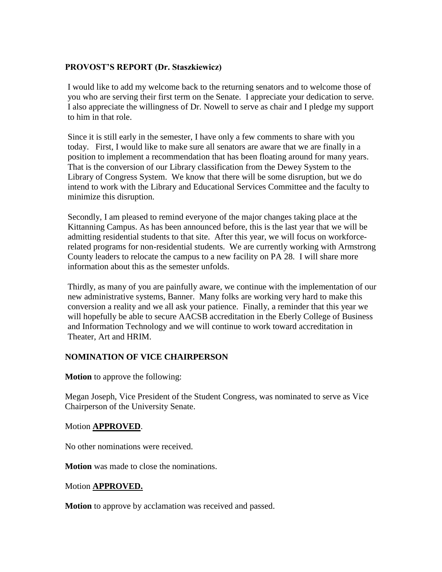### **PROVOST'S REPORT (Dr. Staszkiewicz)**

I would like to add my welcome back to the returning senators and to welcome those of you who are serving their first term on the Senate. I appreciate your dedication to serve. I also appreciate the willingness of Dr. Nowell to serve as chair and I pledge my support to him in that role.

Since it is still early in the semester, I have only a few comments to share with you today. First, I would like to make sure all senators are aware that we are finally in a position to implement a recommendation that has been floating around for many years. That is the conversion of our Library classification from the Dewey System to the Library of Congress System. We know that there will be some disruption, but we do intend to work with the Library and Educational Services Committee and the faculty to minimize this disruption.

Secondly, I am pleased to remind everyone of the major changes taking place at the Kittanning Campus. As has been announced before, this is the last year that we will be admitting residential students to that site. After this year, we will focus on workforcerelated programs for non-residential students. We are currently working with Armstrong County leaders to relocate the campus to a new facility on PA 28. I will share more information about this as the semester unfolds.

Thirdly, as many of you are painfully aware, we continue with the implementation of our new administrative systems, Banner. Many folks are working very hard to make this conversion a reality and we all ask your patience. Finally, a reminder that this year we will hopefully be able to secure AACSB accreditation in the Eberly College of Business and Information Technology and we will continue to work toward accreditation in Theater, Art and HRIM.

## **NOMINATION OF VICE CHAIRPERSON**

**Motion** to approve the following:

Megan Joseph, Vice President of the Student Congress, was nominated to serve as Vice Chairperson of the University Senate.

### Motion **APPROVED**.

No other nominations were received.

**Motion** was made to close the nominations.

#### Motion **APPROVED.**

**Motion** to approve by acclamation was received and passed.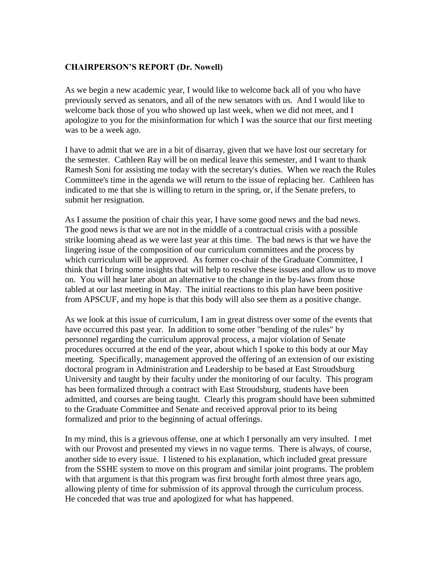### **CHAIRPERSON'S REPORT (Dr. Nowell)**

As we begin a new academic year, I would like to welcome back all of you who have previously served as senators, and all of the new senators with us. And I would like to welcome back those of you who showed up last week, when we did not meet, and I apologize to you for the misinformation for which I was the source that our first meeting was to be a week ago.

I have to admit that we are in a bit of disarray, given that we have lost our secretary for the semester. Cathleen Ray will be on medical leave this semester, and I want to thank Ramesh Soni for assisting me today with the secretary's duties. When we reach the Rules Committee's time in the agenda we will return to the issue of replacing her. Cathleen has indicated to me that she is willing to return in the spring, or, if the Senate prefers, to submit her resignation.

As I assume the position of chair this year, I have some good news and the bad news. The good news is that we are not in the middle of a contractual crisis with a possible strike looming ahead as we were last year at this time. The bad news is that we have the lingering issue of the composition of our curriculum committees and the process by which curriculum will be approved. As former co-chair of the Graduate Committee, I think that I bring some insights that will help to resolve these issues and allow us to move on. You will hear later about an alternative to the change in the by-laws from those tabled at our last meeting in May. The initial reactions to this plan have been positive from APSCUF, and my hope is that this body will also see them as a positive change.

As we look at this issue of curriculum, I am in great distress over some of the events that have occurred this past year. In addition to some other "bending of the rules" by personnel regarding the curriculum approval process, a major violation of Senate procedures occurred at the end of the year, about which I spoke to this body at our May meeting. Specifically, management approved the offering of an extension of our existing doctoral program in Administration and Leadership to be based at East Stroudsburg University and taught by their faculty under the monitoring of our faculty. This program has been formalized through a contract with East Stroudsburg, students have been admitted, and courses are being taught. Clearly this program should have been submitted to the Graduate Committee and Senate and received approval prior to its being formalized and prior to the beginning of actual offerings.

In my mind, this is a grievous offense, one at which I personally am very insulted. I met with our Provost and presented my views in no vague terms. There is always, of course, another side to every issue. I listened to his explanation, which included great pressure from the SSHE system to move on this program and similar joint programs. The problem with that argument is that this program was first brought forth almost three years ago, allowing plenty of time for submission of its approval through the curriculum process. He conceded that was true and apologized for what has happened.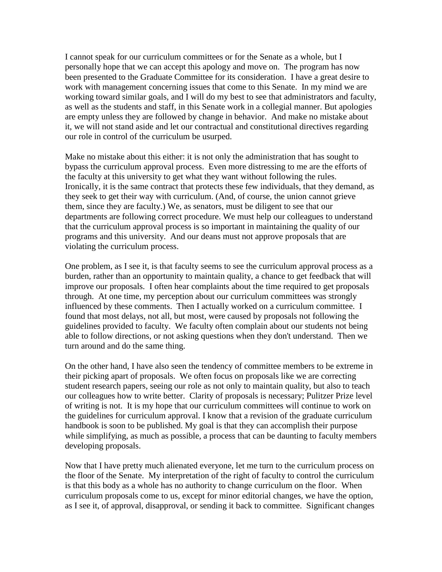I cannot speak for our curriculum committees or for the Senate as a whole, but I personally hope that we can accept this apology and move on. The program has now been presented to the Graduate Committee for its consideration. I have a great desire to work with management concerning issues that come to this Senate. In my mind we are working toward similar goals, and I will do my best to see that administrators and faculty, as well as the students and staff, in this Senate work in a collegial manner. But apologies are empty unless they are followed by change in behavior. And make no mistake about it, we will not stand aside and let our contractual and constitutional directives regarding our role in control of the curriculum be usurped.

Make no mistake about this either: it is not only the administration that has sought to bypass the curriculum approval process. Even more distressing to me are the efforts of the faculty at this university to get what they want without following the rules. Ironically, it is the same contract that protects these few individuals, that they demand, as they seek to get their way with curriculum. (And, of course, the union cannot grieve them, since they are faculty.) We, as senators, must be diligent to see that our departments are following correct procedure. We must help our colleagues to understand that the curriculum approval process is so important in maintaining the quality of our programs and this university. And our deans must not approve proposals that are violating the curriculum process.

One problem, as I see it, is that faculty seems to see the curriculum approval process as a burden, rather than an opportunity to maintain quality, a chance to get feedback that will improve our proposals. I often hear complaints about the time required to get proposals through. At one time, my perception about our curriculum committees was strongly influenced by these comments. Then I actually worked on a curriculum committee. I found that most delays, not all, but most, were caused by proposals not following the guidelines provided to faculty. We faculty often complain about our students not being able to follow directions, or not asking questions when they don't understand. Then we turn around and do the same thing.

On the other hand, I have also seen the tendency of committee members to be extreme in their picking apart of proposals. We often focus on proposals like we are correcting student research papers, seeing our role as not only to maintain quality, but also to teach our colleagues how to write better. Clarity of proposals is necessary; Pulitzer Prize level of writing is not. It is my hope that our curriculum committees will continue to work on the guidelines for curriculum approval. I know that a revision of the graduate curriculum handbook is soon to be published. My goal is that they can accomplish their purpose while simplifying, as much as possible, a process that can be daunting to faculty members developing proposals.

Now that I have pretty much alienated everyone, let me turn to the curriculum process on the floor of the Senate. My interpretation of the right of faculty to control the curriculum is that this body as a whole has no authority to change curriculum on the floor. When curriculum proposals come to us, except for minor editorial changes, we have the option, as I see it, of approval, disapproval, or sending it back to committee. Significant changes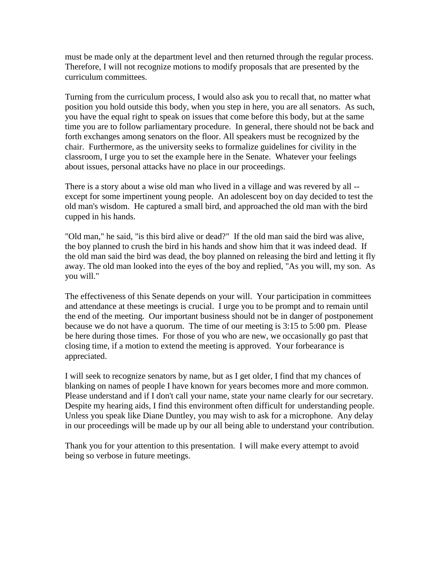must be made only at the department level and then returned through the regular process. Therefore, I will not recognize motions to modify proposals that are presented by the curriculum committees.

Turning from the curriculum process, I would also ask you to recall that, no matter what position you hold outside this body, when you step in here, you are all senators. As such, you have the equal right to speak on issues that come before this body, but at the same time you are to follow parliamentary procedure. In general, there should not be back and forth exchanges among senators on the floor. All speakers must be recognized by the chair. Furthermore, as the university seeks to formalize guidelines for civility in the classroom, I urge you to set the example here in the Senate. Whatever your feelings about issues, personal attacks have no place in our proceedings.

There is a story about a wise old man who lived in a village and was revered by all - except for some impertinent young people. An adolescent boy on day decided to test the old man's wisdom. He captured a small bird, and approached the old man with the bird cupped in his hands.

"Old man," he said, "is this bird alive or dead?" If the old man said the bird was alive, the boy planned to crush the bird in his hands and show him that it was indeed dead. If the old man said the bird was dead, the boy planned on releasing the bird and letting it fly away. The old man looked into the eyes of the boy and replied, "As you will, my son. As you will."

The effectiveness of this Senate depends on your will. Your participation in committees and attendance at these meetings is crucial. I urge you to be prompt and to remain until the end of the meeting. Our important business should not be in danger of postponement because we do not have a quorum. The time of our meeting is 3:15 to 5:00 pm. Please be here during those times. For those of you who are new, we occasionally go past that closing time, if a motion to extend the meeting is approved. Your forbearance is appreciated.

I will seek to recognize senators by name, but as I get older, I find that my chances of blanking on names of people I have known for years becomes more and more common. Please understand and if I don't call your name, state your name clearly for our secretary. Despite my hearing aids, I find this environment often difficult for understanding people. Unless you speak like Diane Duntley, you may wish to ask for a microphone. Any delay in our proceedings will be made up by our all being able to understand your contribution.

Thank you for your attention to this presentation. I will make every attempt to avoid being so verbose in future meetings.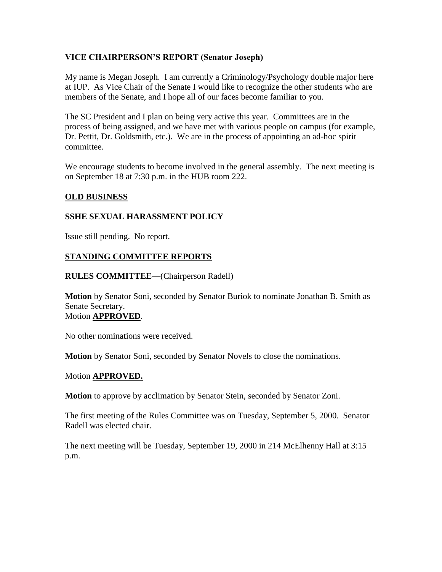## **VICE CHAIRPERSON'S REPORT (Senator Joseph)**

My name is Megan Joseph. I am currently a Criminology/Psychology double major here at IUP. As Vice Chair of the Senate I would like to recognize the other students who are members of the Senate, and I hope all of our faces become familiar to you.

The SC President and I plan on being very active this year. Committees are in the process of being assigned, and we have met with various people on campus (for example, Dr. Pettit, Dr. Goldsmith, etc.). We are in the process of appointing an ad-hoc spirit committee.

We encourage students to become involved in the general assembly. The next meeting is on September 18 at 7:30 p.m. in the HUB room 222.

### **OLD BUSINESS**

### **SSHE SEXUAL HARASSMENT POLICY**

Issue still pending. No report.

### **STANDING COMMITTEE REPORTS**

**RULES COMMITTEE—**(Chairperson Radell)

**Motion** by Senator Soni, seconded by Senator Buriok to nominate Jonathan B. Smith as Senate Secretary. Motion **APPROVED**.

No other nominations were received.

**Motion** by Senator Soni, seconded by Senator Novels to close the nominations.

### Motion **APPROVED.**

**Motion** to approve by acclimation by Senator Stein, seconded by Senator Zoni.

The first meeting of the Rules Committee was on Tuesday, September 5, 2000. Senator Radell was elected chair.

The next meeting will be Tuesday, September 19, 2000 in 214 McElhenny Hall at 3:15 p.m.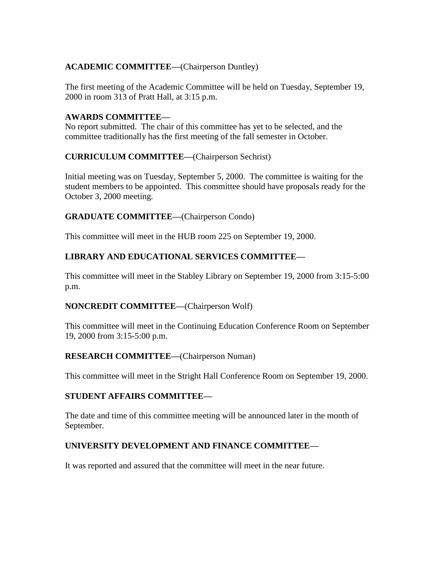# **ACADEMIC COMMITTEE—**(Chairperson Duntley)

The first meeting of the Academic Committee will be held on Tuesday, September 19, 2000 in room 313 of Pratt Hall, at 3:15 p.m.

## **AWARDS COMMITTEE—**

No report submitted. The chair of this committee has yet to be selected, and the committee traditionally has the first meeting of the fall semester in October.

### **CURRICULUM COMMITTEE—**(Chairperson Sechrist)

Initial meeting was on Tuesday, September 5, 2000. The committee is waiting for the student members to be appointed. This committee should have proposals ready for the October 3, 2000 meeting.

## **GRADUATE COMMITTEE—**(Chairperson Condo)

This committee will meet in the HUB room 225 on September 19, 2000.

# **LIBRARY AND EDUCATIONAL SERVICES COMMITTEE—**

This committee will meet in the Stabley Library on September 19, 2000 from 3:15-5:00 p.m.

## **NONCREDIT COMMITTEE—**(Chairperson Wolf)

This committee will meet in the Continuing Education Conference Room on September 19, 2000 from 3:15-5:00 p.m.

### **RESEARCH COMMITTEE—**(Chairperson Numan)

This committee will meet in the Stright Hall Conference Room on September 19, 2000.

### **STUDENT AFFAIRS COMMITTEE—**

The date and time of this committee meeting will be announced later in the month of September.

## **UNIVERSITY DEVELOPMENT AND FINANCE COMMITTEE—**

It was reported and assured that the committee will meet in the near future.